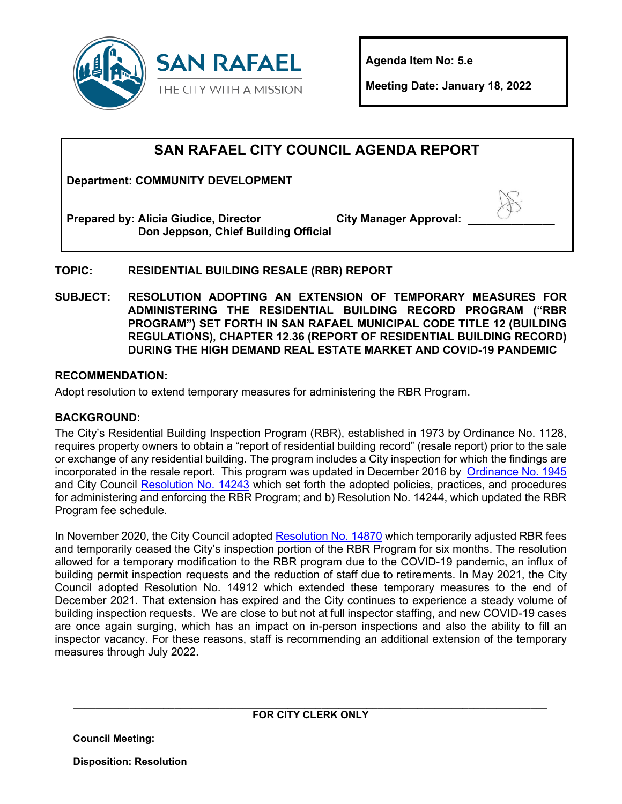

**Agenda Item No: 5.e**

**Meeting Date: January 18, 2022** 

# **SAN RAFAEL CITY COUNCIL AGENDA REPORT**

**Department: COMMUNITY DEVELOPMENT**

**Prepared by: Alicia Giudice, Director Don Jeppson, Chief Building Official City Manager Approval: \_\_\_\_\_\_\_\_\_\_\_\_\_\_**

# **TOPIC: RESIDENTIAL BUILDING RESALE (RBR) REPORT**

**SUBJECT: RESOLUTION ADOPTING AN EXTENSION OF TEMPORARY MEASURES FOR ADMINISTERING THE RESIDENTIAL BUILDING RECORD PROGRAM ("RBR PROGRAM") SET FORTH IN SAN RAFAEL MUNICIPAL CODE TITLE 12 (BUILDING REGULATIONS), CHAPTER 12.36 (REPORT OF RESIDENTIAL BUILDING RECORD) DURING THE HIGH DEMAND REAL ESTATE MARKET AND COVID-19 PANDEMIC**

### **RECOMMENDATION:**

Adopt resolution to extend temporary measures for administering the RBR Program.

### **BACKGROUND:**

The City's Residential Building Inspection Program (RBR), established in 1973 by Ordinance No. 1128, requires property owners to obtain a "report of residential building record" (resale report) prior to the sale or exchange of any residential building. The program includes a City inspection for which the findings are incorporated in the resale report. This program was updated in December 2016 by [Ordinance No. 1945](https://storage.googleapis.com/proudcity/sanrafaelca/uploads/Ordinance-1945-Report-of-Residential-Building-Record.pdf) and City Council [Resolution No. 14243](https://storage.googleapis.com/proudcity/sanrafaelca/uploads/2020/03/RBR-Resolution-14243.pdf) which set forth the adopted policies, practices, and procedures for administering and enforcing the RBR Program; and b) Resolution No. 14244, which updated the RBR Program fee schedule.

In November 2020, the City Council adopted [Resolution](https://storage.googleapis.com/proudcity/sanrafaelca/uploads/2020/11/CD-RBR-Resolution-11-16-20.pdf) No. 14870 which temporarily adjusted RBR fees and temporarily ceased the City's inspection portion of the RBR Program for six months. The resolution allowed for a temporary modification to the RBR program due to the COVID-19 pandemic, an influx of building permit inspection requests and the reduction of staff due to retirements. In May 2021, the City Council adopted Resolution No. 14912 which extended these temporary measures to the end of December 2021. That extension has expired and the City continues to experience a steady volume of building inspection requests. We are close to but not at full inspector staffing, and new COVID-19 cases are once again surging, which has an impact on in-person inspections and also the ability to fill an inspector vacancy. For these reasons, staff is recommending an additional extension of the temporary measures through July 2022.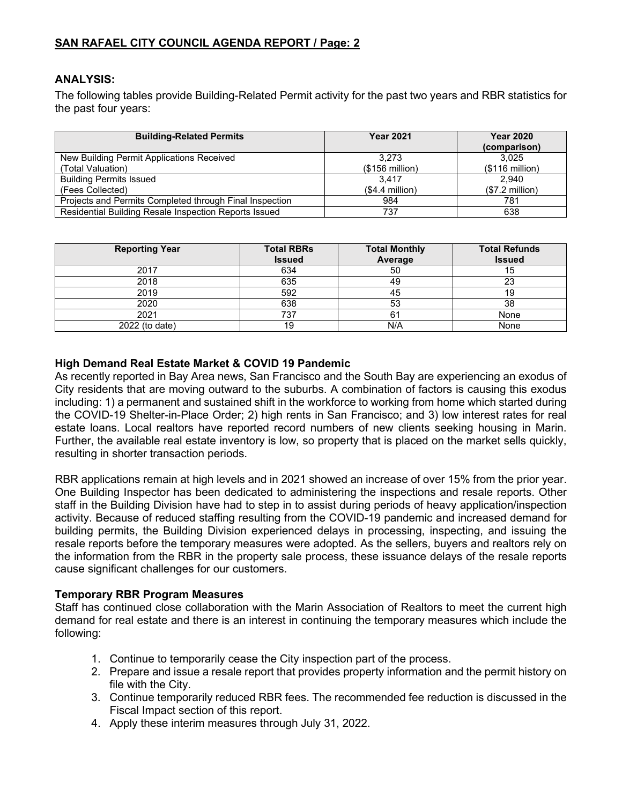# **SAN RAFAEL CITY COUNCIL AGENDA REPORT / Page: 2**

#### **ANALYSIS:**

The following tables provide Building-Related Permit activity for the past two years and RBR statistics for the past four years:

| <b>Building-Related Permits</b>                         | <b>Year 2021</b> | <b>Year 2020</b><br>(comparison) |
|---------------------------------------------------------|------------------|----------------------------------|
| New Building Permit Applications Received               | 3.273            | 3.025                            |
| (Total Valuation)                                       | $($156$ million) | $($116$ million)                 |
| <b>Building Permits Issued</b>                          | 3.417            | 2.940                            |
| (Fees Collected)                                        | $($4.4$ million) | $($7.2$ million)                 |
| Projects and Permits Completed through Final Inspection | 984              | 781                              |
| Residential Building Resale Inspection Reports Issued   | 737              | 638                              |

| <b>Reporting Year</b> | <b>Total RBRs</b> | <b>Total Monthly</b> | <b>Total Refunds</b> |
|-----------------------|-------------------|----------------------|----------------------|
|                       | <b>Issued</b>     | Average              | <b>Issued</b>        |
| 2017                  | 634               | 50                   | 15                   |
| 2018                  | 635               | 49                   | 23                   |
| 2019                  | 592               | 45                   | 19                   |
| 2020                  | 638               | 53                   | 38                   |
| 2021                  | 737               | 61                   | None                 |
| 2022 (to date)        | 19                | N/A                  | None                 |

#### **High Demand Real Estate Market & COVID 19 Pandemic**

As recently reported in Bay Area news, San Francisco and the South Bay are experiencing an exodus of City residents that are moving outward to the suburbs. A combination of factors is causing this exodus including: 1) a permanent and sustained shift in the workforce to working from home which started during the COVID-19 Shelter-in-Place Order; 2) high rents in San Francisco; and 3) low interest rates for real estate loans. Local realtors have reported record numbers of new clients seeking housing in Marin. Further, the available real estate inventory is low, so property that is placed on the market sells quickly, resulting in shorter transaction periods.

RBR applications remain at high levels and in 2021 showed an increase of over 15% from the prior year. One Building Inspector has been dedicated to administering the inspections and resale reports. Other staff in the Building Division have had to step in to assist during periods of heavy application/inspection activity. Because of reduced staffing resulting from the COVID-19 pandemic and increased demand for building permits, the Building Division experienced delays in processing, inspecting, and issuing the resale reports before the temporary measures were adopted. As the sellers, buyers and realtors rely on the information from the RBR in the property sale process, these issuance delays of the resale reports cause significant challenges for our customers.

#### **Temporary RBR Program Measures**

Staff has continued close collaboration with the Marin Association of Realtors to meet the current high demand for real estate and there is an interest in continuing the temporary measures which include the following:

- 1. Continue to temporarily cease the City inspection part of the process.
- 2. Prepare and issue a resale report that provides property information and the permit history on file with the City.
- 3. Continue temporarily reduced RBR fees. The recommended fee reduction is discussed in the Fiscal Impact section of this report.
- 4. Apply these interim measures through July 31, 2022.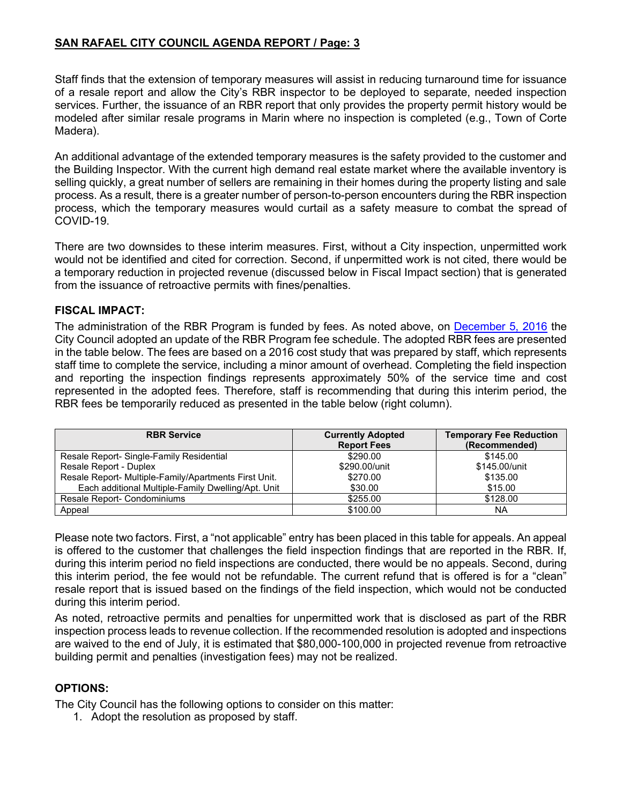# **SAN RAFAEL CITY COUNCIL AGENDA REPORT / Page: 3**

Staff finds that the extension of temporary measures will assist in reducing turnaround time for issuance of a resale report and allow the City's RBR inspector to be deployed to separate, needed inspection services. Further, the issuance of an RBR report that only provides the property permit history would be modeled after similar resale programs in Marin where no inspection is completed (e.g., Town of Corte Madera).

An additional advantage of the extended temporary measures is the safety provided to the customer and the Building Inspector. With the current high demand real estate market where the available inventory is selling quickly, a great number of sellers are remaining in their homes during the property listing and sale process. As a result, there is a greater number of person-to-person encounters during the RBR inspection process, which the temporary measures would curtail as a safety measure to combat the spread of COVID-19.

There are two downsides to these interim measures. First, without a City inspection, unpermitted work would not be identified and cited for correction. Second, if unpermitted work is not cited, there would be a temporary reduction in projected revenue (discussed below in Fiscal Impact section) that is generated from the issuance of retroactive permits with fines/penalties.

### **FISCAL IMPACT:**

The administration of the RBR Program is funded by fees. As noted above, on [December 5, 2016](http://publicrecords.cityofsanrafael.org/WebLink/DocView.aspx?id=17211&dbid=0&repo=CityofSanRafael) the City Council adopted an update of the RBR Program fee schedule. The adopted RBR fees are presented in the table below. The fees are based on a 2016 cost study that was prepared by staff, which represents staff time to complete the service, including a minor amount of overhead. Completing the field inspection and reporting the inspection findings represents approximately 50% of the service time and cost represented in the adopted fees. Therefore, staff is recommending that during this interim period, the RBR fees be temporarily reduced as presented in the table below (right column).

| <b>RBR Service</b>                                    | <b>Currently Adopted</b><br><b>Report Fees</b> | <b>Temporary Fee Reduction</b><br>(Recommended) |
|-------------------------------------------------------|------------------------------------------------|-------------------------------------------------|
| Resale Report- Single-Family Residential              | \$290.00                                       | \$145.00                                        |
| Resale Report - Duplex                                | \$290,00/unit                                  | \$145.00/unit                                   |
| Resale Report- Multiple-Family/Apartments First Unit. | \$270.00                                       | \$135.00                                        |
| Each additional Multiple-Family Dwelling/Apt. Unit    | \$30.00                                        | \$15.00                                         |
| Resale Report- Condominiums                           | \$255.00                                       | \$128.00                                        |
| Appeal                                                | \$100.00                                       | NA                                              |

Please note two factors. First, a "not applicable" entry has been placed in this table for appeals. An appeal is offered to the customer that challenges the field inspection findings that are reported in the RBR. If, during this interim period no field inspections are conducted, there would be no appeals. Second, during this interim period, the fee would not be refundable. The current refund that is offered is for a "clean" resale report that is issued based on the findings of the field inspection, which would not be conducted during this interim period.

As noted, retroactive permits and penalties for unpermitted work that is disclosed as part of the RBR inspection process leads to revenue collection. If the recommended resolution is adopted and inspections are waived to the end of July, it is estimated that \$80,000-100,000 in projected revenue from retroactive building permit and penalties (investigation fees) may not be realized.

### **OPTIONS:**

The City Council has the following options to consider on this matter:

1. Adopt the resolution as proposed by staff.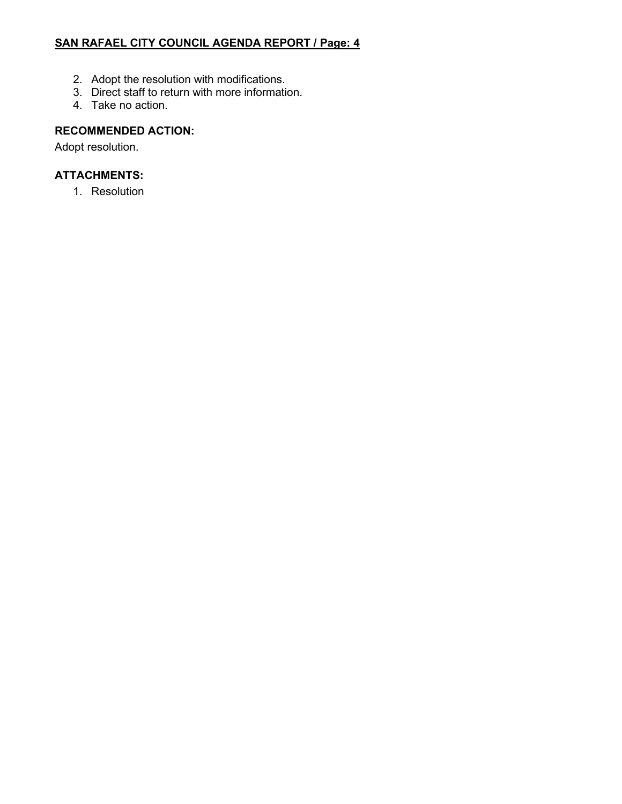# **SAN RAFAEL CITY COUNCIL AGENDA REPORT / Page: 4**

- 2. Adopt the resolution with modifications.
- 3. Direct staff to return with more information.
- 4. Take no action.

# **RECOMMENDED ACTION:**

Adopt resolution.

# **ATTACHMENTS:**

1. Resolution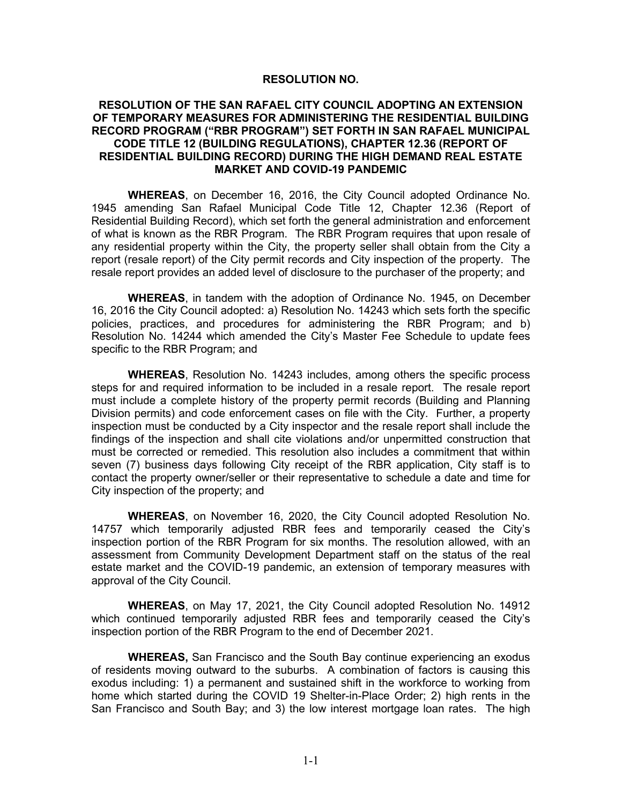#### **RESOLUTION NO.**

#### **RESOLUTION OF THE SAN RAFAEL CITY COUNCIL ADOPTING AN EXTENSION OF TEMPORARY MEASURES FOR ADMINISTERING THE RESIDENTIAL BUILDING RECORD PROGRAM ("RBR PROGRAM") SET FORTH IN SAN RAFAEL MUNICIPAL CODE TITLE 12 (BUILDING REGULATIONS), CHAPTER 12.36 (REPORT OF RESIDENTIAL BUILDING RECORD) DURING THE HIGH DEMAND REAL ESTATE MARKET AND COVID-19 PANDEMIC**

**WHEREAS**, on December 16, 2016, the City Council adopted Ordinance No. 1945 amending San Rafael Municipal Code Title 12, Chapter 12.36 (Report of Residential Building Record), which set forth the general administration and enforcement of what is known as the RBR Program. The RBR Program requires that upon resale of any residential property within the City, the property seller shall obtain from the City a report (resale report) of the City permit records and City inspection of the property. The resale report provides an added level of disclosure to the purchaser of the property; and

**WHEREAS**, in tandem with the adoption of Ordinance No. 1945, on December 16, 2016 the City Council adopted: a) Resolution No. 14243 which sets forth the specific policies, practices, and procedures for administering the RBR Program; and b) Resolution No. 14244 which amended the City's Master Fee Schedule to update fees specific to the RBR Program; and

**WHEREAS**, Resolution No. 14243 includes, among others the specific process steps for and required information to be included in a resale report. The resale report must include a complete history of the property permit records (Building and Planning Division permits) and code enforcement cases on file with the City. Further, a property inspection must be conducted by a City inspector and the resale report shall include the findings of the inspection and shall cite violations and/or unpermitted construction that must be corrected or remedied. This resolution also includes a commitment that within seven (7) business days following City receipt of the RBR application, City staff is to contact the property owner/seller or their representative to schedule a date and time for City inspection of the property; and

**WHEREAS**, on November 16, 2020, the City Council adopted Resolution No. 14757 which temporarily adjusted RBR fees and temporarily ceased the City's inspection portion of the RBR Program for six months. The resolution allowed, with an assessment from Community Development Department staff on the status of the real estate market and the COVID-19 pandemic, an extension of temporary measures with approval of the City Council.

**WHEREAS**, on May 17, 2021, the City Council adopted Resolution No. 14912 which continued temporarily adjusted RBR fees and temporarily ceased the City's inspection portion of the RBR Program to the end of December 2021.

**WHEREAS,** San Francisco and the South Bay continue experiencing an exodus of residents moving outward to the suburbs. A combination of factors is causing this exodus including: 1) a permanent and sustained shift in the workforce to working from home which started during the COVID 19 Shelter-in-Place Order; 2) high rents in the San Francisco and South Bay; and 3) the low interest mortgage loan rates. The high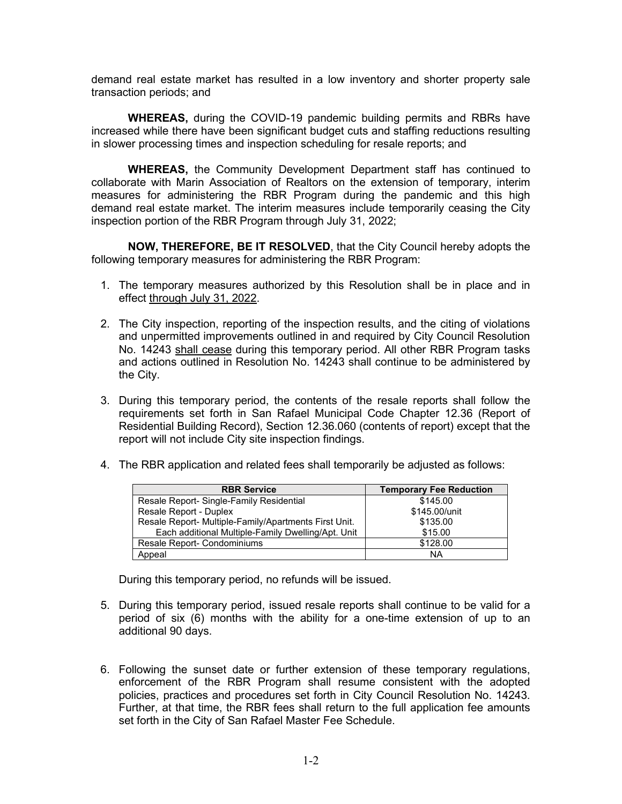demand real estate market has resulted in a low inventory and shorter property sale transaction periods; and

**WHEREAS,** during the COVID-19 pandemic building permits and RBRs have increased while there have been significant budget cuts and staffing reductions resulting in slower processing times and inspection scheduling for resale reports; and

**WHEREAS,** the Community Development Department staff has continued to collaborate with Marin Association of Realtors on the extension of temporary, interim measures for administering the RBR Program during the pandemic and this high demand real estate market. The interim measures include temporarily ceasing the City inspection portion of the RBR Program through July 31, 2022;

**NOW, THEREFORE, BE IT RESOLVED**, that the City Council hereby adopts the following temporary measures for administering the RBR Program:

- 1. The temporary measures authorized by this Resolution shall be in place and in effect through July 31, 2022.
- 2. The City inspection, reporting of the inspection results, and the citing of violations and unpermitted improvements outlined in and required by City Council Resolution No. 14243 shall cease during this temporary period. All other RBR Program tasks and actions outlined in Resolution No. 14243 shall continue to be administered by the City.
- 3. During this temporary period, the contents of the resale reports shall follow the requirements set forth in San Rafael Municipal Code Chapter 12.36 (Report of Residential Building Record), Section 12.36.060 (contents of report) except that the report will not include City site inspection findings.
- 4. The RBR application and related fees shall temporarily be adjusted as follows:

| <b>RBR Service</b>                                    | <b>Temporary Fee Reduction</b> |
|-------------------------------------------------------|--------------------------------|
| Resale Report-Single-Family Residential               | \$145.00                       |
| Resale Report - Duplex                                | \$145.00/unit                  |
| Resale Report- Multiple-Family/Apartments First Unit. | \$135.00                       |
| Each additional Multiple-Family Dwelling/Apt. Unit    | \$15.00                        |
| Resale Report- Condominiums                           | \$128.00                       |
| Appeal                                                | NA                             |

During this temporary period, no refunds will be issued.

- 5. During this temporary period, issued resale reports shall continue to be valid for a period of six (6) months with the ability for a one-time extension of up to an additional 90 days.
- 6. Following the sunset date or further extension of these temporary regulations, enforcement of the RBR Program shall resume consistent with the adopted policies, practices and procedures set forth in City Council Resolution No. 14243. Further, at that time, the RBR fees shall return to the full application fee amounts set forth in the City of San Rafael Master Fee Schedule.